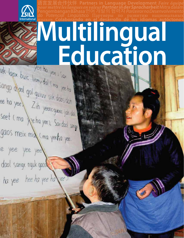

angues en valeur **Partner in der Spracharbeit** *cial Lingüístico* Партнёры по<br>I**olaborando en el desarrollo d** 

### *do Potencial Linguistico* - Har desárrollo de los luíomas es Education yee to yee i sax

uk laox buic liemv dal (ma yee ha sangp diad gol guiuv siik dabs dah ee ha yeel Zih yeencgueec jah da seet (ma Jeha yee), Saxdad sarge gaos meix mid (ma yeetia yee. le yee yee yee

dool sangx nguk gaos ha yee hee ha yee ha yee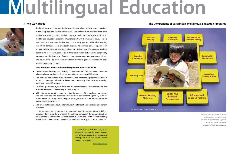### **Multilingual Education**

### **A Two-Way Bridge**



Studies demonstrate that learning is most efective when the instruction is received in the language the learner knows best. This simple truth extends from basic reading and writing skills in the frst language to second language acquisition. In multilingual education programs (MLE) that start with the mother tongue, learners use their own language for learning in the early grades, while also learning the official language as a classroom subject. As learners gain competence in understanding, speaking, reading and writing the language of education, teachers begin using it for instruction. This instructional bridge between the community language and the language of wider communication enables learners—children and adults alike—to meet their broader multilingual goals while retaining their local language and culture.

#### **This booklet addresses several important aspects of MLE:**

### **The Components of Sustainable Multilingual Education Programs**

MLE programs require innovative thinking and cooperation among individuals, communities, organizations and agencies. This diagram displays the essential components of the strongest programs.

- The voices of ethnolinguistic minority communities are often not heard. Therefore, advocacy is appropriate for these communities to meet their MLE needs.
- **Conventional instructional methods are not adequate for MLE programs. Educators** at both community and national levels need to develop their capacity to design and implement MLE programs.
- **Developing a writing system for a non-dominant language is a challenging but** essential early step in developing an MLE program.
- $\blacksquare$  MLE not only requires the commitment and resources of the local community, but also the resources and expertise available from government agencies, NGOs or others. Resource linking brings the partners together so that each one contributes its own particular resources.
- MLE gives children and adults a firm foundation for continuing to learn throughout their lives.

SIL participates in MLE by serving as an advocate for and with local communities, linking them to supportive resources and helping each build capacity to develop appropriate programs.

www.sil.org/literacy



Listen to this young woman from Southeast Asia: "To learn at school is difcult because I don't know how to speak the national language." By working together, we can help her and millions like her succeed in school and—with an identity frmly rooted in their own culture—become aware of, and participate in the wider world.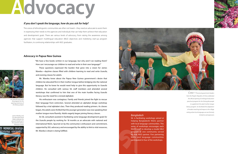### Bangladesh

SIL is facilitating workshops aimed at helping Bangladeshi NGOs partner with local language communities. This series of workshops encourages each NGO's staff to develop a model MLE program in one community served by that NGO partner. Five partnering NGOs and language communities participated in four of the workshops.



CHINA—Provincial government leaders from the People's Republic of China celebrated the official opening of a bilingual education preschool program for the Shilong Bai people to supplement the adult mother-tongue literacy program. SIL facilitated the adaptation of modern teaching techniques to this village setting where local language use was formerly

SIL advocate David Wake celebrate the ground-breaking for the Usarufa Literacy Resource Centre.





An Usarufa man reads the program for the opening ceremony of the literacy project.

### Advocacy

### **If you don't speak the language, how do you ask for help?**

The voices of ethnolinguistic communities are often not heard—they need an advocate to assist them in expressing their needs to the agencies and individuals that can help them achieve their education and development goals. There are various levels of advocacy, from raising the awareness among agencies that support multilingual education (MLE) objectives and mobilizing start-up program facilitators, to continuing relationships with MLE graduates.

### **Advocacy in Papua New Guinea**

James Warebu and **Solution Construction Construction** imited to oral expression. An SIL consultant assisted in facilitating some language development goals for the Usarufa people by working for 18 months as an advocate with national and international NGOs. Spurred on by the community's enthusiasm and commitment, supported by SIL's advocacy and encouraged by the ability to link to vital resources, Mr. Warebu's dream is being fulflled.

"We have a few books written in our language, but why aren't we reading them? How can I encourage our children to read and write in their own language?"

These questions expressed the burden that grew into a vision for James Warebu—daytime classes flled with children learning to read and write Usarufa, and evening classes for adults.

Mr. Warebu knew about the Papua New Guinea government's desire that children be educated frst in their mother tongue before bridging into the national language. But he knew he would need help to give this opportunity to Usarufa children. He consulted with various SIL staff members and attended several workshops that confrmed to him that one of the main hurdles facing Usarufa literacy was the need for a revised alphabet.

His enthusiasm was contagious. Family and friends joined the fght to rescue their language from extinction. Several attended an alphabet design workshop followed by a trial alphabet class. Then they produced reading primers. As classes began, the adults were thrilled that the younger generation was now speaking their mother tongue more fuently. Adults eagerly began joining literacy classes.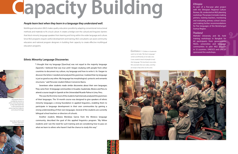# **Capacity Building**

### **People learn best when they learn in a language they understand well.**

Multilingual education (MLE) makes quality education possible by adapting conventional instructional methods and materials to ft a local culture. It creates a bridge over the cultural and linguistic barriers that block minority language speakers from learning and living within the wider language and culture. Since MLE programs require careful development and training, MLE consultants can assist community educators and national program designers in building their capacity to create efective multilingual education programs.

### **Ethnic Minority Language Discoveries**



"I thought that my language [Quechua] was not equal to the majority language [Spanish]. I believed that was true until I began studying with people from other countries to document my culture, my language and how to write it. As I began to discover the letters I needed and analyzed the grammar, I realized that my language is just as good as any other. My language has morphological, syntactic and semantic structures," said Peruvian student Édison Convercio Ibarra.

Another student, Bibiana Mendoza Garcia from the Mixteco language community, described the goal of this applied linguistics program: "My fellow students and I see the need for such training and are considering how to pass on what we learn to others who haven't had the chance to study this way."



Seventeen other students made similar discoveries about their own languages. They came from 16 language communities in Ecuador, Guatemala, Mexico and Peru to attend a course taught in Spanish at the Universidad Ricardo Palma in Lima, Peru.

This was the frst time most of the students had intensely analyzed the grammars of their languages. The 10-month course was designed to give speakers of ethnic minority languages a strong foundation in applied linguistics, enabling them to participate in language development in their own communities by gaining a strong understanding of their own languages. Several of the students are currently bilingual school teachers or directors of schools.

Participants learn to confdently transfer to others what they learned as they take leadership in documenting and preserving their linguistic and cultural heritage.

Every day students and teachers alike learn something new.



GUATEMALA—Children in Guatemala watch an Ixil video "My Heart Language," written and flmed by an Ixil video crew. It was created to teach Ixil people to read their language. This local team now writes, flms and edits their own videos, and they are ready to help others do the same.



### Ethiopia

As part of a fve-year pilot project with the Ethiopian Regional Culture Bureau, SIL conducted an MLE planning workshop. The project includes making primers, training teachers, monitoring and evaluating primary school classes and making further recommendations for fve languages of the Benishangul-Gumuz Region.

### Thailand

Mahidol University and SIL held training workshops in Bangkok for 60 participants from governments, NGOs, universities and language communities to plan MLE projects in 12 countries. UNESCO and UNICEF sponsored the workshops.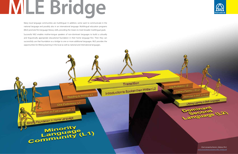### **MLE Bridge**

Many local language communities are multilingual. In addition, some want to communicate in the national language and possibly also in an international language. Multilingual education programs (MLE) promote frst-language literacy skills, providing the means to meet broader multilingual goals.

Successful MLE enables mother-tongue speakers of non-dominant languages to build a culturally and linguistically appropriate educational foundation in their home language frst. Then they can successfully use that foundation as a bridge to one or more additional languages. MLE provides the opportunities for lifelong learning in the local as well as national and international languages.

Reading & Writing L1

Oral Proficiency 11

Instruction in First Language L1

**Minerity**<br>Language (L1)

Strong Foundation In Home Language

Transition

Introduction to Spoken then Written L2





www.sil.org/literacy/graphics/MLE\_Bridge.pdf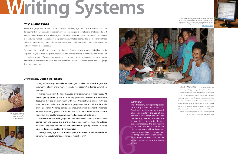### **Writing Systems**

### **Writing System Design**

Before a language can be used in the classroom, the language must have a written form. The development of a writing system (orthography) for a language is a complex and challenging task. It requires careful analysis of how a language is constructed. What are the various sounds the language uses and what would be the best way to represent them? What script should be used? To answer these and other questions, linguistics and literacy consultants work with language communities, universities and governments in the process.

Printed materials in the Kuria language of Tanzania were not widely used. At an orthography workshop, the Kuria writing system was reviewed. The local team discovered that the problem wasn't with the orthography, but instead with the assumptions of readers that the Kuria language was constructed like the trade language, Swahili. Workshop participants uncovered several signifcant diferences between the writing systems of Kuria and Swahili. With this awareness and minimal Workshop participants<br>
use their knowledge **instruction, they could more easily begin reading their mother tongue.**<br> **Example the coundary of the fact** and the fact the fact the funding provided by the Australian governmen

Community-based workshops and mentorships are efective means to equip individuals to do linguistic analysis and sociolinguistic research, and to provide training in writing-system design and standardization issues. This participatory approach to writing system development fosters community interest and ownership of the result and is crucial to the success of a writing system and a language development program.



### **Orthography Design Workshops**

"Orthography development is like mining for gold. It takes a lot of work to get there, but when you fnally arrive, you've reached a real treasure!" exclaimed a workshop attendee.

Speakers from related languages also attended the workshop. The participants learned from one another and exchanged encouragement for their efforts. Since the Simbiti language is related to Kuria, the Kuria orthography became a starting point for developing the Simbiti writing system.

Seeing his language in print, a Simbiti speaker exclaimed, "A veil has been lifted from my eyes about my language. It has so much beauty!"

SIL has produced computer fonts for a variety of complex Roman and non-Roman scripts around the world so that script-related issues will not hinder language communities in their materials production. Available for download at http://scripts.sil.org

### Cambodia

The orthography development process for the Kuy speakers in Cambodia is faced with the challenges of a broad phonemic inventory, the use of the complex Khmer script and the fact that few Kuy speakers have adequate literacy skills in that script. Despite these complications, the community's contribution and participation in the process has been signifcant. Language awareness meetings, an orthography workshop and a language committee all lay a good foundation for the Kuy speakers to embrace their new writing system.



PAPUA NEW GUINEA—Two-week Alphabet Design Workshops (ADW) give an opportunity for local-language teachers, trainers and community members to write stories in their own language, discuss and choose orthographic options, produce a trial spelling guide and begin compiling a dictionary. The ADW method relies on speakers' perceptions of their language, and consequently refects the sound system in its cultural context as viewed by the speakers of the language. SIL assisted the Papua New Guinea Department of Education to produce trial orthographies for over 100 languages with



use their knowledge of the language in analysis exercises.

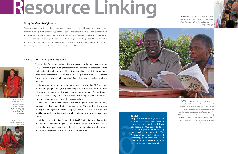### Resource Linking

### **Many hands make light work.**

This proverb aptly describes the benefts of partners working together with language communities to establish multilingual education (MLE) programs. Each partner contributes its own particular resources and expertise. Strong educational programs that help students bridge to national and international languages can be built through the combined efforts of government agencies, NGOs, universities and donors. MLE programs that link multiple resources enable more active involvement by the local community, which increases the likelihood of a sustainable MLE program.

### **MLE Teacher Training in Bangladesh**



"I had applied for teacher job but I did not know any details. Later I learned about MLE," Suma Khyang said during a teacher-training workshop. "I was to teach Khyang children in their mother tongue. I felt confused—we had no books in our language because it is only spoken. If we started mother-tongue instruction," she wondered, "would parents send their children to class? If no children came, how long would my job last?"

In preparation for the new school term, teachers attended an MLE workshop held in Chittagong Hill Tracts, Bangladesh. They learned that early education is most efective when students are instructed in their mother tongue. The participants produced mother-tongue materials that could be used by teachers from the local community in order to implement the new curriculum.

Activities like these help to build instructional bridges between the community language and languages of wider communication. When students learn basic reading and writing skills in their frst language, they are able to meet their broader multilingual and educational goals while retaining their local language and culture.

At the end of her training, Suma said, "I think MLE is the right way of education for the ethnic children of Bangladesh. We teachers understand this now." She is prepared to help parents understand that education begun in the mother tongue is a key to their children's future success in school and in life.



#### Sudan

Ten people were chosen by each of the Southern Sudanese State Education Ministries to attend workshops conducted by MLE consultants to discuss principles for implementing transitional bilingual education. The Ministry of Education, Science and Technology is using information and ideas from the workshops to draft its language and education policy.





AFRICA—Participants from six east African countries attended HIV/AIDS awareness workshops sponsored by SIL and several partner organizations as part of their continued emphasis on health and education for less-advantaged peoples. Original songs were composed to accompany HIV/ AIDS prevention, and treatment materials written in culturally appropriate story form. All were recorded for audio playback, and the booklets were translated and printed in eight local languages plus fve languages of wider communication.

A teacher-training course in Bangladesh was supported by a coalition that includes the United Nations Development Program (UNDP), SIL International and other NGOs.

The harmonium is a common instrument in Bangladesh.

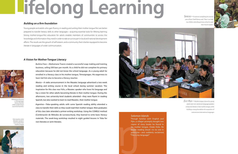# lifelong Learning

### **Building on a frm foundation**

Young people and adults who gain fuency in reading and writing their mother tongue frst are better prepared to transfer literacy skills to other languages—acquiring essential tools for lifelong learning. Strong mother-tongue-frst education for adults enables members of communities to access the knowledge and information they need in order to take an active part in local and national development eforts. The results are the growth of self esteem, and a community that is better equipped to become literate in languages of wider communication.

### **A Vision for Mother-Tongue Literacy**



Burkina Faso—Abdramane Traore created a successful soap-making and training business, selling 500 bars per month. As a child he did not complete his primary education because he did not know the school language. As a young adult he enrolled in a literacy class in his mother tongue, Témoignages. His eagerness to learn led him also to become a literacy teacher.

SENEGAL—A woman completing her second year of basic Saafi literacy said, "Now I can help my children attending primary school to read their French reader.



Mexico—A radio announcement in the Mazatec language advertised a two-week reading and writing course in the local school during summer vacation. The inspiration for this class was Felix, a Mazatec speaker who loves his language and has a vision for other adults becoming literate in their mother tongue. During the afternoons, two university-level students attended—they were fuent in reading Spanish, but also wanted to learn to read Mazatec, their mother tongue.

Argentina—Toba-speaking adults with some Spanish reading ability attended a class to transfer their skills so they could read their mother tongue. Nine graduates of this class later attended a primer-writing workshop. Using the COMELE method (Combinación de Métodos de Lectoescritura), they learned to write basic literacy materials. The week-long workshop resulted in eight guided lessons in Toba for non-literates or semi-literates.



EAST ASIA—Mother-tongue classes for young adults train non-dominant language speakers to become literate in their mother tongue, while building a strong foundation for acquisition of national and international languages.

#### Solomon Islands

Though familiar with English and Pijin, a villager promptly bought two copies of story books he found in his mother tongue, Cheke Holo. He began reading aloud—to no one in particular—and suddenly exclaimed, "This is my language!"

Abdramane became a Témoignages literacy teacher while conducting a successful business.

Felix teaches other Mazatec speakers how to read their mother tongue.